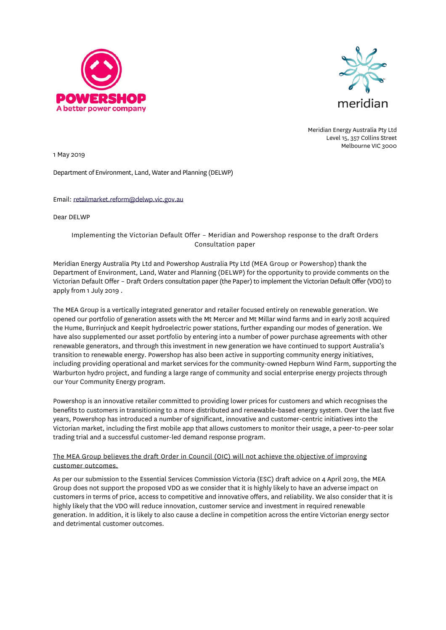



Meridian Energy Australia Pty Ltd Level 15, 357 Collins Street Melbourne VIC 3000

1 May 2019

Department of Environment, Land, Water and Planning (DELWP)

Email: [retailmarket.reform@delwp.vic.gov.au](mailto:retailmarket.reform@delwp.vic.gov.au)

Dear DELWP

Implementing the Victorian Default Offer – Meridian and Powershop response to the draft Orders Consultation paper

Meridian Energy Australia Pty Ltd and Powershop Australia Pty Ltd (MEA Group or Powershop) thank the Department of Environment, Land, Water and Planning (DELWP) for the opportunity to provide comments on the Victorian Default Offer – Draft Orders consultation paper (the Paper) to implement the Victorian Default Offer(VDO) to apply from 1 July 2019 .

The MEA Group is a vertically integrated generator and retailer focused entirely on renewable generation. We opened our portfolio of generation assets with the Mt Mercer and Mt Millar wind farms and in early 2018 acquired the Hume, Burrinjuck and Keepit hydroelectric power stations, further expanding our modes of generation. We have also supplemented our asset portfolio by entering into a number of power purchase agreements with other renewable generators, and through this investment in new generation we have continued to support Australia's transition to renewable energy. Powershop has also been active in supporting community energy initiatives, including providing operational and market services for the community-owned Hepburn Wind Farm, supporting the Warburton hydro project, and funding a large range of community and social enterprise energy projects through our Your Community Energy program.

Powershop is an innovative retailer committed to providing lower prices for customers and which recognises the benefits to customers in transitioning to a more distributed and renewable-based energy system. Over the last five years, Powershop has introduced a number of significant, innovative and customer-centric initiatives into the Victorian market, including the first mobile app that allows customers to monitor their usage, a peer-to-peer solar trading trial and a successful customer-led demand response program.

The MEA Group believes the draft Order in Council (OIC) will not achieve the objective of improving customer outcomes.

As per our submission to the Essential Services Commission Victoria (ESC) draft advice on 4 April 2019, the MEA Group does not support the proposed VDO as we consider that it is highly likely to have an adverse impact on customers in terms of price, access to competitive and innovative offers, and reliability. We also consider that it is highly likely that the VDO will reduce innovation, customer service and investment in required renewable generation. In addition, it is likely to also cause a decline in competition across the entire Victorian energy sector and detrimental customer outcomes.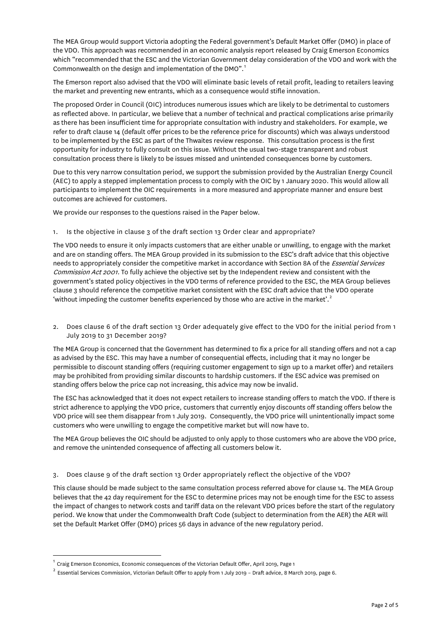The MEA Group would support Victoria adopting the Federal government's Default Market Offer (DMO) in place of the VDO. This approach was recommended in an economic analysis report released by Craig Emerson Economics which "recommended that the ESC and the Victorian Government delay consideration of the VDO and work with the Commonwealth on the design and implementation of the DMO".[1](#page-1-0)

The Emerson report also advised that the VDO will eliminate basic levels of retail profit, leading to retailers leaving the market and preventing new entrants, which as a consequence would stifle innovation.

The proposed Order in Council (OIC) introduces numerous issues which are likely to be detrimental to customers as reflected above. In particular, we believe that a number of technical and practical complications arise primarily as there has been insufficient time for appropriate consultation with industry and stakeholders. For example, we refer to draft clause 14 (default offer prices to be the reference price for discounts) which was always understood to be implemented by the ESC as part of the Thwaites review response. This consultation process is the first opportunity for industry to fully consult on this issue. Without the usual two-stage transparent and robust consultation process there is likely to be issues missed and unintended consequences borne by customers.

Due to this very narrow consultation period, we support the submission provided by the Australian Energy Council (AEC) to apply a stepped implementation process to comply with the OIC by 1 January 2020. This would allow all participants to implement the OIC requirements in a more measured and appropriate manner and ensure best outcomes are achieved for customers.

We provide our responses to the questions raised in the Paper below.

1. Is the objective in clause 3 of the draft section 13 Order clear and appropriate?

The VDO needs to ensure it only impacts customers that are either unable or unwilling, to engage with the market and are on standing offers. The MEA Group provided in its submission to the ESC's draft advice that this objective needs to appropriately consider the competitive market in accordance with Section 8A of the Essential Services Commission Act 2001. To fully achieve the objective set by the Independent review and consistent with the government's stated policy objectives in the VDO terms of reference provided to the ESC, the MEA Group believes clause 3 should reference the competitive market consistent with the ESC draft advice that the VDO operate 'without impeding the customer benefits experienced by those who are active in the market'.<sup>[2](#page-1-1)</sup>

2. Does clause 6 of the draft section 13 Order adequately give effect to the VDO for the initial period from 1 July 2019 to 31 December 2019?

The MEA Group is concerned that the Government has determined to fix a price for all standing offers and not a cap as advised by the ESC. This may have a number of consequential effects, including that it may no longer be permissible to discount standing offers (requiring customer engagement to sign up to a market offer) and retailers may be prohibited from providing similar discounts to hardship customers. If the ESC advice was premised on standing offers below the price cap not increasing, this advice may now be invalid.

The ESC has acknowledged that it does not expect retailers to increase standing offers to match the VDO. If there is strict adherence to applying the VDO price, customers that currently enjoy discounts off standing offers below the VDO price will see them disappear from 1 July 2019. Consequently, the VDO price will unintentionally impact some customers who were unwilling to engage the competitive market but will now have to.

The MEA Group believes the OIC should be adjusted to only apply to those customers who are above the VDO price, and remove the unintended consequence of affecting all customers below it.

3. Does clause 9 of the draft section 13 Order appropriately reflect the objective of the VDO?

This clause should be made subject to the same consultation process referred above for clause 14. The MEA Group believes that the 42 day requirement for the ESC to determine prices may not be enough time for the ESC to assess the impact of changes to network costs and tariff data on the relevant VDO prices before the start of the regulatory period. We know that under the Commonwealth Draft Code (subject to determination from the AER) the AER will set the Default Market Offer (DMO) prices 56 days in advance of the new regulatory period.

<span id="page-1-0"></span><sup>1</sup> Craig Emerson Economics, Economic consequences of the Victorian Default Offer, April 2019, Page 1

<span id="page-1-1"></span> $2$  Essential Services Commission, Victorian Default Offer to apply from 1 July 2019 - Draft advice, 8 March 2019, page 6.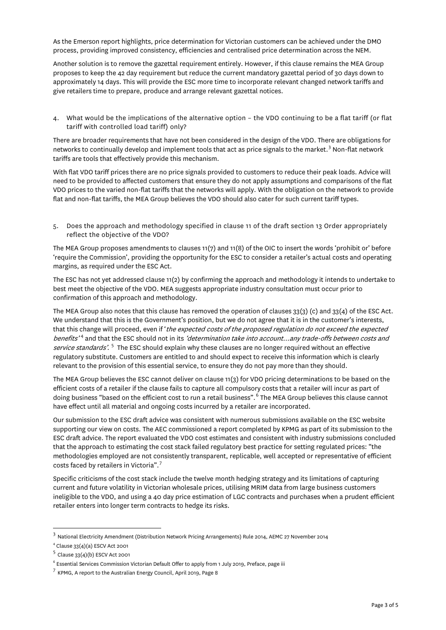As the Emerson report highlights, price determination for Victorian customers can be achieved under the DMO process, providing improved consistency, efficiencies and centralised price determination across the NEM.

Another solution is to remove the gazettal requirement entirely. However, if this clause remains the MEA Group proposes to keep the 42 day requirement but reduce the current mandatory gazettal period of 30 days down to approximately 14 days. This will provide the ESC more time to incorporate relevant changed network tariffs and give retailers time to prepare, produce and arrange relevant gazettal notices.

4. What would be the implications of the alternative option – the VDO continuing to be a flat tariff (or flat tariff with controlled load tariff) only?

There are broader requirements that have not been considered in the design of the VDO. There are obligations for networks to continually develop and implement tools that act as price signals to the market. [3](#page-2-0) Non-flat network tariffs are tools that effectively provide this mechanism.

With flat VDO tariff prices there are no price signals provided to customers to reduce their peak loads. Advice will need to be provided to affected customers that ensure they do not apply assumptions and comparisons of the flat VDO prices to the varied non-flat tariffs that the networks will apply. With the obligation on the network to provide flat and non-flat tariffs, the MEA Group believes the VDO should also cater for such current tariff types.

5. Does the approach and methodology specified in clause 11 of the draft section 13 Order appropriately reflect the objective of the VDO?

The MEA Group proposes amendments to clauses 11(7) and 11(8) of the OIC to insert the words 'prohibit or' before 'require the Commission', providing the opportunity for the ESC to consider a retailer's actual costs and operating margins, as required under the ESC Act.

The ESC has not yet addressed clause 11(2) by confirming the approach and methodology it intends to undertake to best meet the objective of the VDO. MEA suggests appropriate industry consultation must occur prior to confirmation of this approach and methodology.

The MEA Group also notes that this clause has removed the operation of clauses 33(3) (c) and 33(4) of the ESC Act. We understand that this is the Government's position, but we do not agree that it is in the customer's interests, that this change will proceed, even if 'the expected costs of the proposed regulation do not exceed the expected benefits<sup>'[4](#page-2-1)</sup> and that the ESC should not in its 'determination take into account...any trade-offs between costs and service standards'.<sup>[5](#page-2-2)</sup> The ESC should explain why these clauses are no longer required without an effective regulatory substitute. Customers are entitled to and should expect to receive this information which is clearly relevant to the provision of this essential service, to ensure they do not pay more than they should.

The MEA Group believes the ESC cannot deliver on clause 11(3) for VDO pricing determinations to be based on the efficient costs of a retailer if the clause fails to capture all compulsory costs that a retailer will incur as part of doing business "based on the efficient cost to run a retail business". [6](#page-2-3) The MEA Group believes this clause cannot have effect until all material and ongoing costs incurred by a retailer are incorporated.

Our submission to the ESC draft advice was consistent with numerous submissions available on the ESC website supporting our view on costs. The AEC commissioned a report completed by KPMG as part of its submission to the ESC draft advice. The report evaluated the VDO cost estimates and consistent with industry submissions concluded that the approach to estimating the cost stack failed regulatory best practice for setting regulated prices: "the methodologies employed are not consistently transparent, replicable, well accepted or representative of efficient costs faced by retailers in Victoria".[7](#page-2-4)

Specific criticisms of the cost stack include the twelve month hedging strategy and its limitations of capturing current and future volatility in Victorian wholesale prices, utilising MRIM data from large business customers ineligible to the VDO, and using a 40 day price estimation of LGC contracts and purchases when a prudent efficient retailer enters into longer term contracts to hedge its risks.

<span id="page-2-0"></span><sup>3</sup> National Electricity Amendment (Distribution Network Pricing Arrangements) Rule 2014, AEMC 27 November 2014

<span id="page-2-1"></span><sup>4</sup> Clause 33(4)(a) ESCV Act 2001

<span id="page-2-2"></span> $5$  Clause 33(4)(b) ESCV Act 2001

<span id="page-2-3"></span> $^6$  Essential Services Commission Victorian Default Offer to apply from 1 July 2019, Preface, page iii

<span id="page-2-4"></span> $7$  KPMG, A report to the Australian Energy Council, April 2019, Page 8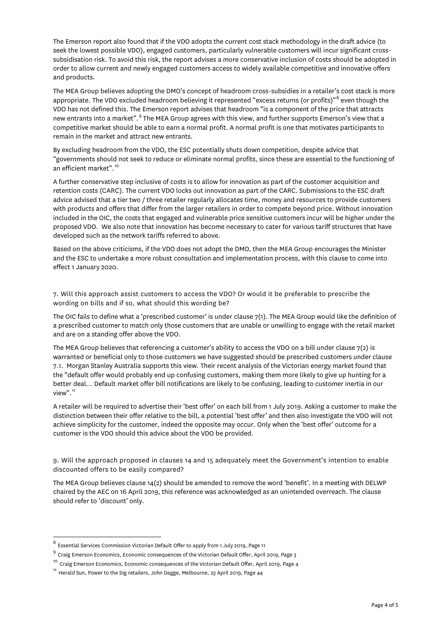The Emerson report also found that if the VDO adopts the current cost stack methodology in the draft advice (to seek the lowest possible VDO), engaged customers, particularly vulnerable customers will incur significant crosssubsidisation risk. To avoid this risk, the report advises a more conservative inclusion of costs should be adopted in order to allow current and newly engaged customers access to widely available competitive and innovative offers and products.

The MEA Group believes adopting the DMO's concept of headroom cross-subsidies in a retailer's cost stack is more appropriate. The VDO excluded headroom believing it represented "excess returns (or profits)"<sup>[8](#page-3-0)</sup> even though the VDO has not defined this. The Emerson report advises that headroom "is a component of the price that attracts new entrants into a market".[9](#page-3-1) The MEA Group agrees with this view, and further supports Emerson's view that a competitive market should be able to earn a normal profit. A normal profit is one that motivates participants to remain in the market and attract new entrants.

By excluding headroom from the VDO, the ESC potentially shuts down competition, despite advice that "governments should not seek to reduce or eliminate normal profits, since these are essential to the functioning of an efficient market".<sup>[10](#page-3-2)</sup>

A further conservative step inclusive of costs is to allow for innovation as part of the customer acquisition and retention costs (CARC). The current VDO locks out innovation as part of the CARC. Submissions to the ESC draft advice advised that a tier two / three retailer regularly allocates time, money and resources to provide customers with products and offers that differ from the larger retailers in order to compete beyond price. Without innovation included in the OIC, the costs that engaged and vulnerable price sensitive customers incur will be higher under the proposed VDO. We also note that innovation has become necessary to cater for various tariff structures that have developed such as the network tariffs referred to above.

Based on the above criticisms, if the VDO does not adopt the DMO, then the MEA Group encourages the Minister and the ESC to undertake a more robust consultation and implementation process, with this clause to come into effect 1 January 2020.

7. Will this approach assist customers to access the VDO? Or would it be preferable to prescribe the wording on bills and if so, what should this wording be?

The OIC fails to define what a 'prescribed customer' is under clause 7(1). The MEA Group would like the definition of a prescribed customer to match only those customers that are unable or unwilling to engage with the retail market and are on a standing offer above the VDO.

The MEA Group believes that referencing a customer's ability to access the VDO on a bill under clause 7(2) is warranted or beneficial only to those customers we have suggested should be prescribed customers under clause 7.1. Morgan Stanley Australia supports this view. Their recent analysis of the Victorian energy market found that the "default offer would probably end up confusing customers, making them more likely to give up hunting for a better deal… Default market offer bill notifications are likely to be confusing, leading to customer inertia in our view".<sup>[11](#page-3-3)</sup>

A retailer will be required to advertise their 'best offer' on each bill from 1 July 2019. Asking a customer to make the distinction between their offer relative to the bill, a potential 'best offer' and then also investigate the VDO will not achieve simplicity for the customer, indeed the opposite may occur. Only when the 'best offer' outcome for a customer is the VDO should this advice about the VDO be provided.

9. Will the approach proposed in clauses 14 and 15 adequately meet the Government's intention to enable discounted offers to be easily compared?

The MEA Group believes clause 14(2) should be amended to remove the word 'benefit'. In a meeting with DELWP chaired by the AEC on 16 April 2019, this reference was acknowledged as an unintended overreach. The clause should refer to 'discount' only.

<span id="page-3-0"></span> $^8$  Essential Services Commission Victorian Default Offer to apply from 1 July 2019, Page 11

<span id="page-3-1"></span><sup>9</sup> Craig Emerson Economics, Economic consequences of the Victorian Default Offer, April 2019, Page 3

<span id="page-3-2"></span><sup>&</sup>lt;sup>10</sup> Craig Emerson Economics, Economic consequences of the Victorian Default Offer, April 2019, Page 4

<span id="page-3-3"></span><sup>&</sup>lt;sup>11</sup> Herald Sun, Power to the big retailers, John Dagge, Melbourne, 23 April 2019, Page 44